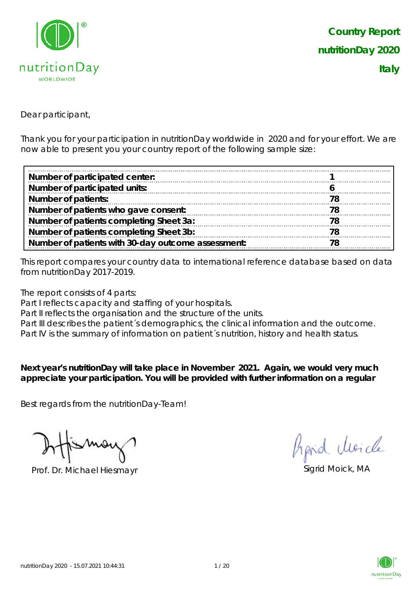

Dear participant,

Thank you for your participation in nutritionDay worldwide in 2020 and for your effort. We are now able to present you your country report of the following sample size:

| Number of participated center:                     |    |
|----------------------------------------------------|----|
| Number of participated units:                      |    |
| <b>Number of patients:</b>                         |    |
| Number of patients who gave consent:               | 78 |
| Number of patients completing Sheet 3a:            |    |
| Number of patients completing Sheet 3b:            |    |
| Number of patients with 30-day outcome assessment: |    |

This report compares your country data to international reference database based on data from nutritionDay 2017-2019.

The report consists of 4 parts:

Part I reflects capacity and staffing of your hospitals.

Part II reflects the organisation and the structure of the units.

Part III describes the patient's demographics, the clinical information and the outcome.

Part IV is the summary of information on patient´s nutrition, history and health status.

**Next year's nutritionDay will take place in November 2021. Again, we would very much appreciate your participation. You will be provided with further information on a regular** 

Best regards from the nutritionDay-Team!

Prof. Dr. Michael Hiesmayr Sigrid Moick, MA

Aprid Moich

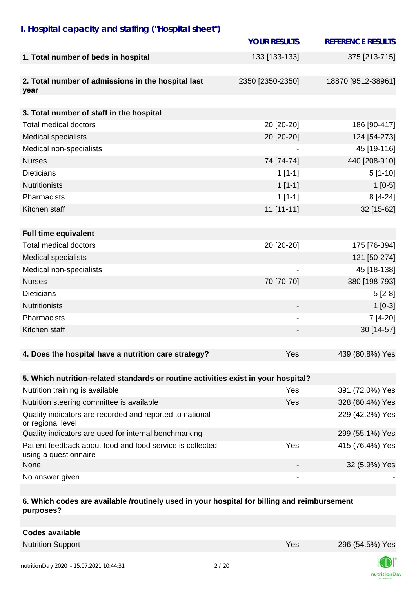## *I. Hospital capacity and staffing ("Hospital sheet")*

|                                                                                    | <b>YOUR RESULTS</b> | <b>REFERENCE RESULTS</b> |
|------------------------------------------------------------------------------------|---------------------|--------------------------|
| 1. Total number of beds in hospital                                                | 133 [133-133]       | 375 [213-715]            |
|                                                                                    |                     |                          |
| 2. Total number of admissions in the hospital last<br>year                         | 2350 [2350-2350]    | 18870 [9512-38961]       |
|                                                                                    |                     |                          |
| 3. Total number of staff in the hospital                                           |                     |                          |
| <b>Total medical doctors</b>                                                       | 20 [20-20]          | 186 [90-417]             |
| <b>Medical specialists</b>                                                         | 20 [20-20]          | 124 [54-273]             |
| Medical non-specialists                                                            |                     | 45 [19-116]              |
| <b>Nurses</b>                                                                      | 74 [74-74]          | 440 [208-910]            |
| <b>Dieticians</b>                                                                  | $1[1-1]$            | $5[1-10]$                |
| <b>Nutritionists</b>                                                               | $1[1-1]$            | $1[0-5]$                 |
| Pharmacists                                                                        | $1[1-1]$            | $8[4-24]$                |
| Kitchen staff                                                                      | 11 [11-11]          | 32 [15-62]               |
|                                                                                    |                     |                          |
| <b>Full time equivalent</b>                                                        |                     |                          |
| <b>Total medical doctors</b>                                                       | 20 [20-20]          | 175 [76-394]             |
| <b>Medical specialists</b>                                                         |                     | 121 [50-274]             |
| Medical non-specialists                                                            |                     | 45 [18-138]              |
| <b>Nurses</b>                                                                      | 70 [70-70]          | 380 [198-793]            |
| <b>Dieticians</b>                                                                  |                     | $5[2-8]$                 |
| <b>Nutritionists</b>                                                               |                     | $1[0-3]$                 |
| Pharmacists                                                                        | -                   | 7 [4-20]                 |
| Kitchen staff                                                                      |                     | 30 [14-57]               |
|                                                                                    |                     |                          |
| 4. Does the hospital have a nutrition care strategy?                               | Yes                 | 439 (80.8%) Yes          |
|                                                                                    |                     |                          |
| 5. Which nutrition-related standards or routine activities exist in your hospital? |                     |                          |
| Nutrition training is available                                                    | Yes                 | 391 (72.0%) Yes          |
| Nutrition steering committee is available                                          | Yes                 | 328 (60.4%) Yes          |
| Quality indicators are recorded and reported to national<br>or regional level      |                     | 229 (42.2%) Yes          |
| Quality indicators are used for internal benchmarking                              |                     | 299 (55.1%) Yes          |
| Patient feedback about food and food service is collected<br>using a questionnaire | Yes                 | 415 (76.4%) Yes          |
| None                                                                               |                     | 32 (5.9%) Yes            |
| No answer given                                                                    | -                   |                          |

#### **6. Which codes are available /routinely used in your hospital for billing and reimbursement purposes?**

**Codes available** Nutrition Support **Nutrition Support** 296 (54.5%) Yes 296 (54.5%) Yes

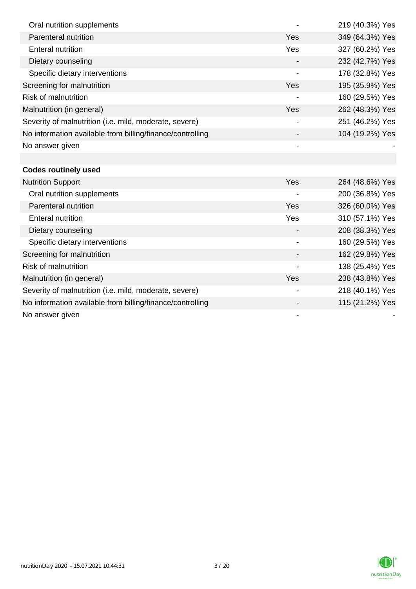| Oral nutrition supplements                                |                          | 219 (40.3%) Yes |
|-----------------------------------------------------------|--------------------------|-----------------|
| Parenteral nutrition                                      | Yes                      | 349 (64.3%) Yes |
| <b>Enteral nutrition</b>                                  | Yes                      | 327 (60.2%) Yes |
| Dietary counseling                                        |                          | 232 (42.7%) Yes |
| Specific dietary interventions                            | $\overline{\phantom{a}}$ | 178 (32.8%) Yes |
| Screening for malnutrition                                | Yes                      | 195 (35.9%) Yes |
| <b>Risk of malnutrition</b>                               |                          | 160 (29.5%) Yes |
| Malnutrition (in general)                                 | Yes                      | 262 (48.3%) Yes |
| Severity of malnutrition (i.e. mild, moderate, severe)    |                          | 251 (46.2%) Yes |
| No information available from billing/finance/controlling |                          | 104 (19.2%) Yes |
| No answer given                                           |                          |                 |
|                                                           |                          |                 |
| <b>Codes routinely used</b>                               |                          |                 |
| <b>Nutrition Support</b>                                  | Yes                      | 264 (48.6%) Yes |
| Oral nutrition supplements                                |                          | 200 (36.8%) Yes |
| Parenteral nutrition                                      | Yes                      | 326 (60.0%) Yes |
| <b>Enteral nutrition</b>                                  | Yes                      | 310 (57.1%) Yes |
| Dietary counseling                                        |                          | 208 (38.3%) Yes |
| Specific dietary interventions                            |                          | 160 (29.5%) Yes |
| Screening for malnutrition                                |                          | 162 (29.8%) Yes |
| <b>Risk of malnutrition</b>                               |                          | 138 (25.4%) Yes |
| Malnutrition (in general)                                 | Yes                      | 238 (43.8%) Yes |
| Severity of malnutrition (i.e. mild, moderate, severe)    |                          | 218 (40.1%) Yes |
| No information available from billing/finance/controlling |                          | 115 (21.2%) Yes |
| No answer given                                           |                          |                 |

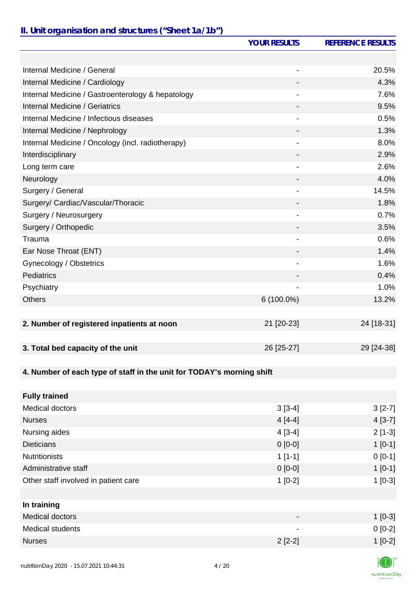## *II. Unit organisation and structures ("Sheet 1a/1b")*

|                                                                       | <b>YOUR RESULTS</b>          | <b>REFERENCE RESULTS</b> |
|-----------------------------------------------------------------------|------------------------------|--------------------------|
|                                                                       |                              |                          |
| Internal Medicine / General                                           | $\overline{\phantom{a}}$     | 20.5%                    |
| Internal Medicine / Cardiology                                        |                              | 4.3%                     |
| Internal Medicine / Gastroenterology & hepatology                     |                              | 7.6%                     |
| Internal Medicine / Geriatrics                                        |                              | 9.5%                     |
| Internal Medicine / Infectious diseases                               |                              | 0.5%                     |
| Internal Medicine / Nephrology                                        |                              | 1.3%                     |
| Internal Medicine / Oncology (incl. radiotherapy)                     |                              | 8.0%                     |
| Interdisciplinary                                                     |                              | 2.9%                     |
| Long term care                                                        | $\qquad \qquad \blacksquare$ | 2.6%                     |
| Neurology                                                             |                              | 4.0%                     |
| Surgery / General                                                     | $\qquad \qquad \blacksquare$ | 14.5%                    |
| Surgery/ Cardiac/Vascular/Thoracic                                    |                              | 1.8%                     |
| Surgery / Neurosurgery                                                |                              | 0.7%                     |
| Surgery / Orthopedic                                                  |                              | 3.5%                     |
| Trauma                                                                |                              | 0.6%                     |
| Ear Nose Throat (ENT)                                                 |                              | 1.4%                     |
| Gynecology / Obstetrics                                               | $\qquad \qquad \blacksquare$ | 1.6%                     |
| <b>Pediatrics</b>                                                     |                              | 0.4%                     |
| Psychiatry                                                            |                              | 1.0%                     |
| <b>Others</b>                                                         | 6 (100.0%)                   | 13.2%                    |
|                                                                       |                              |                          |
| 2. Number of registered inpatients at noon                            | 21 [20-23]                   | 24 [18-31]               |
|                                                                       |                              |                          |
| 3. Total bed capacity of the unit                                     | 26 [25-27]                   | 29 [24-38]               |
|                                                                       |                              |                          |
| 4. Number of each type of staff in the unit for TODAY's morning shift |                              |                          |
|                                                                       |                              |                          |
| <b>Fully trained</b>                                                  |                              |                          |
| Medical doctors                                                       | $3[3-4]$                     | $3[2-7]$                 |
| <b>Nurses</b>                                                         | $4[4-4]$                     | $4[3-7]$                 |
| Nursing aides                                                         | $4[3-4]$                     | $2[1-3]$                 |
| <b>Dieticians</b>                                                     | $0 [0-0]$                    | $1[0-1]$                 |
| <b>Nutritionists</b>                                                  | $1[1-1]$                     | $0[0-1]$                 |
| Administrative staff                                                  | $0 [0-0]$                    | $1[0-1]$                 |
| Other staff involved in patient care                                  | $1[0-2]$                     | $1[0-3]$                 |
|                                                                       |                              |                          |
| In training                                                           |                              |                          |
| <b>Medical doctors</b>                                                |                              | $1[0-3]$                 |
| <b>Medical students</b>                                               |                              | $0[0-2]$                 |
| <b>Nurses</b>                                                         | $2[2-2]$                     | $1[0-2]$                 |
|                                                                       |                              |                          |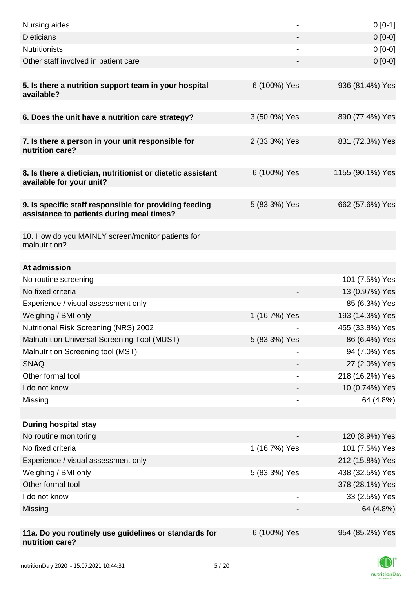| Nursing aides                                                                                       |                | $0[0-1]$         |
|-----------------------------------------------------------------------------------------------------|----------------|------------------|
| <b>Dieticians</b>                                                                                   |                | $0[0-0]$         |
| <b>Nutritionists</b>                                                                                |                | $0[0-0]$         |
| Other staff involved in patient care                                                                |                | $0 [0-0]$        |
| 5. Is there a nutrition support team in your hospital<br>available?                                 | 6 (100%) Yes   | 936 (81.4%) Yes  |
| 6. Does the unit have a nutrition care strategy?                                                    | 3 (50.0%) Yes  | 890 (77.4%) Yes  |
| 7. Is there a person in your unit responsible for<br>nutrition care?                                | 2 (33.3%) Yes  | 831 (72.3%) Yes  |
| 8. Is there a dietician, nutritionist or dietetic assistant<br>available for your unit?             | 6 (100%) Yes   | 1155 (90.1%) Yes |
| 9. Is specific staff responsible for providing feeding<br>assistance to patients during meal times? | 5 (83.3%) Yes  | 662 (57.6%) Yes  |
| 10. How do you MAINLY screen/monitor patients for<br>malnutrition?                                  |                |                  |
|                                                                                                     |                |                  |
| At admission<br>No routine screening                                                                | $\overline{a}$ | 101 (7.5%) Yes   |
| No fixed criteria                                                                                   |                | 13 (0.97%) Yes   |
| Experience / visual assessment only                                                                 |                | 85 (6.3%) Yes    |
| Weighing / BMI only                                                                                 | 1 (16.7%) Yes  | 193 (14.3%) Yes  |
| <b>Nutritional Risk Screening (NRS) 2002</b>                                                        |                | 455 (33.8%) Yes  |
| Malnutrition Universal Screening Tool (MUST)                                                        | 5 (83.3%) Yes  | 86 (6.4%) Yes    |
| Malnutrition Screening tool (MST)                                                                   |                | 94 (7.0%) Yes    |
| <b>SNAQ</b>                                                                                         |                | 27 (2.0%) Yes    |
| Other formal tool                                                                                   |                | 218 (16.2%) Yes  |
| I do not know                                                                                       |                | 10 (0.74%) Yes   |
| Missing                                                                                             |                | 64 (4.8%)        |
|                                                                                                     |                |                  |
| <b>During hospital stay</b>                                                                         |                |                  |
| No routine monitoring                                                                               |                | 120 (8.9%) Yes   |
| No fixed criteria                                                                                   | 1 (16.7%) Yes  | 101 (7.5%) Yes   |
| Experience / visual assessment only                                                                 |                | 212 (15.8%) Yes  |
| Weighing / BMI only                                                                                 | 5 (83.3%) Yes  | 438 (32.5%) Yes  |
| Other formal tool                                                                                   |                | 378 (28.1%) Yes  |
| I do not know                                                                                       |                | 33 (2.5%) Yes    |
| Missing                                                                                             |                | 64 (4.8%)        |
|                                                                                                     |                |                  |
| 11a. Do you routinely use guidelines or standards for<br>nutrition care?                            | 6 (100%) Yes   | 954 (85.2%) Yes  |

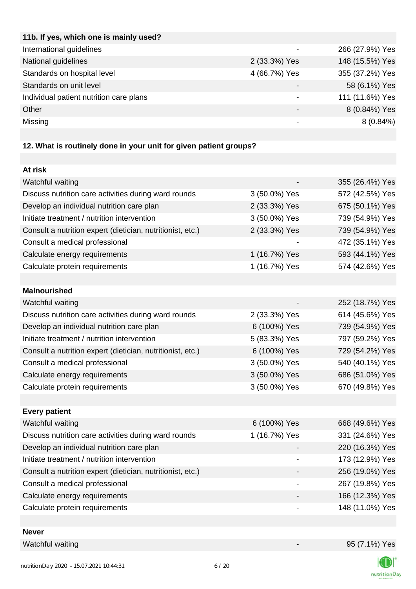| 11b. If yes, which one is mainly used?  |               |                 |
|-----------------------------------------|---------------|-----------------|
| International guidelines                |               | 266 (27.9%) Yes |
| National guidelines                     | 2 (33.3%) Yes | 148 (15.5%) Yes |
| Standards on hospital level             | 4 (66.7%) Yes | 355 (37.2%) Yes |
| Standards on unit level                 |               | 58 (6.1%) Yes   |
| Individual patient nutrition care plans |               | 111 (11.6%) Yes |
| Other                                   |               | 8 (0.84%) Yes   |
| Missing                                 |               | $8(0.84\%)$     |
|                                         |               |                 |

# **12. What is routinely done in your unit for given patient groups?**

| At risk                                                    |               |                 |
|------------------------------------------------------------|---------------|-----------------|
| Watchful waiting                                           |               | 355 (26.4%) Yes |
| Discuss nutrition care activities during ward rounds       | 3 (50.0%) Yes | 572 (42.5%) Yes |
| Develop an individual nutrition care plan                  | 2 (33.3%) Yes | 675 (50.1%) Yes |
| Initiate treatment / nutrition intervention                | 3 (50.0%) Yes | 739 (54.9%) Yes |
| Consult a nutrition expert (dietician, nutritionist, etc.) | 2 (33.3%) Yes | 739 (54.9%) Yes |
| Consult a medical professional                             |               | 472 (35.1%) Yes |
| Calculate energy requirements                              | 1 (16.7%) Yes | 593 (44.1%) Yes |
| Calculate protein requirements                             | 1 (16.7%) Yes | 574 (42.6%) Yes |
|                                                            |               |                 |
| <b>Malnourished</b>                                        |               |                 |
| Watchful waiting                                           |               | 252 (18.7%) Yes |
| Discuss nutrition care activities during ward rounds       | 2 (33.3%) Yes | 614 (45.6%) Yes |
| Develop an individual nutrition care plan                  | 6 (100%) Yes  | 739 (54.9%) Yes |
| Initiate treatment / nutrition intervention                | 5 (83.3%) Yes | 797 (59.2%) Yes |
| Consult a nutrition expert (dietician, nutritionist, etc.) | 6 (100%) Yes  | 729 (54.2%) Yes |
| Consult a medical professional                             | 3 (50.0%) Yes | 540 (40.1%) Yes |
| Calculate energy requirements                              | 3 (50.0%) Yes | 686 (51.0%) Yes |
| Calculate protein requirements                             | 3 (50.0%) Yes | 670 (49.8%) Yes |
|                                                            |               |                 |
| <b>Every patient</b>                                       |               |                 |
| Watchful waiting                                           | 6 (100%) Yes  | 668 (49.6%) Yes |
| Discuss nutrition care activities during ward rounds       | 1 (16.7%) Yes | 331 (24.6%) Yes |
| Develop an individual nutrition care plan                  |               | 220 (16.3%) Yes |
| Initiate treatment / nutrition intervention                |               | 173 (12.9%) Yes |
| Consult a nutrition expert (dietician, nutritionist, etc.) |               | 256 (19.0%) Yes |
| Consult a medical professional                             |               | 267 (19.8%) Yes |
| Calculate energy requirements                              |               | 166 (12.3%) Yes |
| Calculate protein requirements                             |               | 148 (11.0%) Yes |
|                                                            |               |                 |

### **Never**

Watchful waiting  $95 (7.1\%)$  Yes

K nutritionDay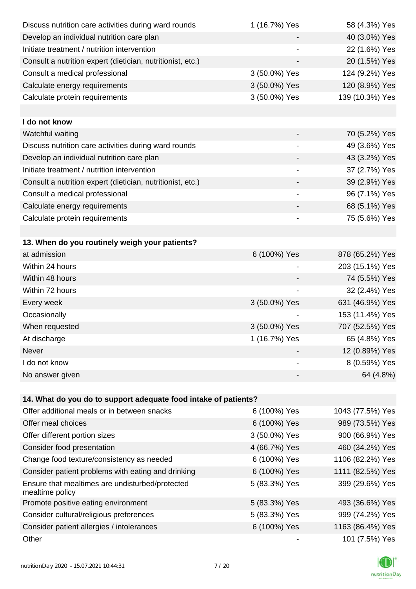| Discuss nutrition care activities during ward rounds               | 1 (16.7%) Yes            | 58 (4.3%) Yes    |
|--------------------------------------------------------------------|--------------------------|------------------|
| Develop an individual nutrition care plan                          |                          | 40 (3.0%) Yes    |
| Initiate treatment / nutrition intervention                        | -                        | 22 (1.6%) Yes    |
| Consult a nutrition expert (dietician, nutritionist, etc.)         | $\overline{\phantom{a}}$ | 20 (1.5%) Yes    |
| Consult a medical professional                                     | 3 (50.0%) Yes            | 124 (9.2%) Yes   |
| Calculate energy requirements                                      | 3 (50.0%) Yes            | 120 (8.9%) Yes   |
| Calculate protein requirements                                     | 3 (50.0%) Yes            | 139 (10.3%) Yes  |
|                                                                    |                          |                  |
| I do not know                                                      |                          |                  |
| Watchful waiting                                                   |                          | 70 (5.2%) Yes    |
| Discuss nutrition care activities during ward rounds               | -                        | 49 (3.6%) Yes    |
| Develop an individual nutrition care plan                          |                          | 43 (3.2%) Yes    |
| Initiate treatment / nutrition intervention                        |                          | 37 (2.7%) Yes    |
| Consult a nutrition expert (dietician, nutritionist, etc.)         |                          | 39 (2.9%) Yes    |
| Consult a medical professional                                     |                          | 96 (7.1%) Yes    |
| Calculate energy requirements                                      |                          | 68 (5.1%) Yes    |
| Calculate protein requirements                                     |                          | 75 (5.6%) Yes    |
|                                                                    |                          |                  |
| 13. When do you routinely weigh your patients?                     |                          |                  |
| at admission                                                       | 6 (100%) Yes             | 878 (65.2%) Yes  |
| Within 24 hours                                                    |                          | 203 (15.1%) Yes  |
| Within 48 hours                                                    |                          | 74 (5.5%) Yes    |
| Within 72 hours                                                    |                          | 32 (2.4%) Yes    |
| Every week                                                         | 3 (50.0%) Yes            | 631 (46.9%) Yes  |
| Occasionally                                                       |                          | 153 (11.4%) Yes  |
| When requested                                                     | 3 (50.0%) Yes            | 707 (52.5%) Yes  |
| At discharge                                                       | 1 (16.7%) Yes            | 65 (4.8%) Yes    |
| <b>Never</b>                                                       |                          | 12 (0.89%) Yes   |
| I do not know                                                      |                          | 8 (0.59%) Yes    |
| No answer given                                                    |                          | 64 (4.8%)        |
|                                                                    |                          |                  |
| 14. What do you do to support adequate food intake of patients?    |                          |                  |
| Offer additional meals or in between snacks                        | 6 (100%) Yes             | 1043 (77.5%) Yes |
| Offer meal choices                                                 | 6 (100%) Yes             | 989 (73.5%) Yes  |
| Offer different portion sizes                                      | 3 (50.0%) Yes            | 900 (66.9%) Yes  |
| Consider food presentation                                         | 4 (66.7%) Yes            | 460 (34.2%) Yes  |
| Change food texture/consistency as needed                          | 6 (100%) Yes             | 1106 (82.2%) Yes |
| Consider patient problems with eating and drinking                 | 6 (100%) Yes             | 1111 (82.5%) Yes |
| Ensure that mealtimes are undisturbed/protected<br>mealtime policy | 5 (83.3%) Yes            | 399 (29.6%) Yes  |
| Promote positive eating environment                                | 5 (83.3%) Yes            | 493 (36.6%) Yes  |
| Consider cultural/religious preferences                            | 5 (83.3%) Yes            | 999 (74.2%) Yes  |
| Consider patient allergies / intolerances                          | 6 (100%) Yes             | 1163 (86.4%) Yes |
| Other                                                              |                          | 101 (7.5%) Yes   |

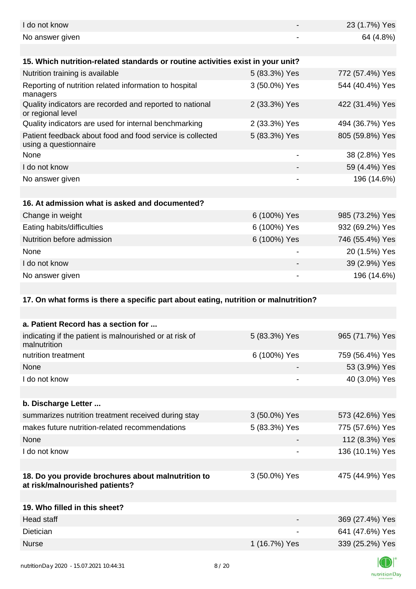| I do not know                                                                        |                          | 23 (1.7%) Yes   |
|--------------------------------------------------------------------------------------|--------------------------|-----------------|
| No answer given                                                                      |                          | 64 (4.8%)       |
|                                                                                      |                          |                 |
| 15. Which nutrition-related standards or routine activities exist in your unit?      |                          |                 |
| Nutrition training is available                                                      | 5 (83.3%) Yes            | 772 (57.4%) Yes |
| Reporting of nutrition related information to hospital<br>managers                   | 3 (50.0%) Yes            | 544 (40.4%) Yes |
| Quality indicators are recorded and reported to national<br>or regional level        | 2 (33.3%) Yes            | 422 (31.4%) Yes |
| Quality indicators are used for internal benchmarking                                | 2 (33.3%) Yes            | 494 (36.7%) Yes |
| Patient feedback about food and food service is collected<br>using a questionnaire   | 5 (83.3%) Yes            | 805 (59.8%) Yes |
| None                                                                                 |                          | 38 (2.8%) Yes   |
| I do not know                                                                        |                          | 59 (4.4%) Yes   |
| No answer given                                                                      |                          | 196 (14.6%)     |
|                                                                                      |                          |                 |
| 16. At admission what is asked and documented?                                       |                          |                 |
| Change in weight                                                                     | 6 (100%) Yes             | 985 (73.2%) Yes |
| Eating habits/difficulties                                                           | 6 (100%) Yes             | 932 (69.2%) Yes |
| Nutrition before admission                                                           | 6 (100%) Yes             | 746 (55.4%) Yes |
| None                                                                                 |                          | 20 (1.5%) Yes   |
| I do not know                                                                        |                          | 39 (2.9%) Yes   |
| No answer given                                                                      |                          | 196 (14.6%)     |
|                                                                                      |                          |                 |
|                                                                                      |                          |                 |
| 17. On what forms is there a specific part about eating, nutrition or malnutrition?  |                          |                 |
|                                                                                      |                          |                 |
| a. Patient Record has a section for                                                  |                          |                 |
| indicating if the patient is malnourished or at risk of<br>malnutrition              | 5 (83.3%) Yes            | 965 (71.7%) Yes |
| nutrition treatment                                                                  | 6 (100%) Yes             | 759 (56.4%) Yes |
| None                                                                                 |                          | 53 (3.9%) Yes   |
| I do not know                                                                        | $\overline{\phantom{a}}$ | 40 (3.0%) Yes   |
|                                                                                      |                          |                 |
| b. Discharge Letter                                                                  |                          |                 |
| summarizes nutrition treatment received during stay                                  | 3 (50.0%) Yes            | 573 (42.6%) Yes |
| makes future nutrition-related recommendations                                       | 5 (83.3%) Yes            | 775 (57.6%) Yes |
| None                                                                                 |                          | 112 (8.3%) Yes  |
| I do not know                                                                        |                          | 136 (10.1%) Yes |
|                                                                                      |                          |                 |
| 18. Do you provide brochures about malnutrition to<br>at risk/malnourished patients? | 3 (50.0%) Yes            | 475 (44.9%) Yes |
|                                                                                      |                          |                 |
| 19. Who filled in this sheet?                                                        |                          |                 |
| Head staff                                                                           |                          | 369 (27.4%) Yes |
| Dietician                                                                            |                          | 641 (47.6%) Yes |
| <b>Nurse</b>                                                                         | 1 (16.7%) Yes            | 339 (25.2%) Yes |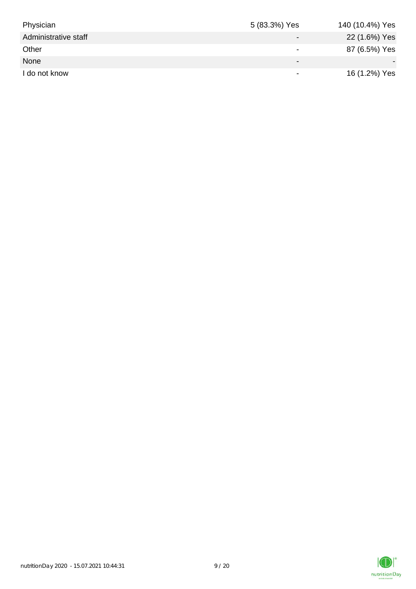| Physician            | 5 (83.3%) Yes            | 140 (10.4%) Yes |
|----------------------|--------------------------|-----------------|
| Administrative staff |                          | 22 (1.6%) Yes   |
| Other                | $\overline{\phantom{0}}$ | 87 (6.5%) Yes   |
| None                 | $\overline{\phantom{0}}$ |                 |
| I do not know        | $\overline{\phantom{0}}$ | 16 (1.2%) Yes   |

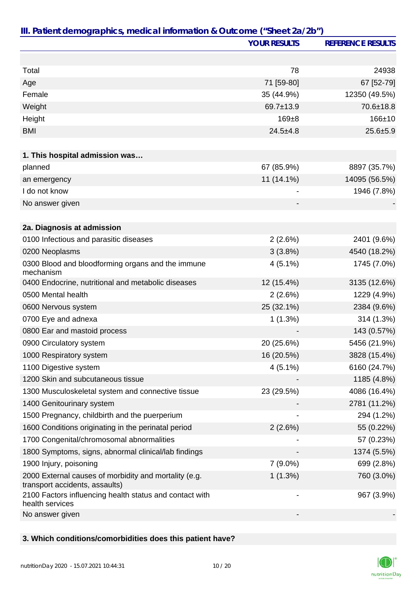|                                                                                         | <b>YOUR RESULTS</b>      | <b>REFERENCE RESULTS</b> |
|-----------------------------------------------------------------------------------------|--------------------------|--------------------------|
|                                                                                         |                          |                          |
| Total                                                                                   | 78                       | 24938                    |
| Age                                                                                     | 71 [59-80]               | 67 [52-79]               |
| Female                                                                                  | 35 (44.9%)               | 12350 (49.5%)            |
| Weight                                                                                  | 69.7±13.9                | 70.6±18.8                |
| Height                                                                                  | $169 + 8$                | $166 + 10$               |
| <b>BMI</b>                                                                              | $24.5 + 4.8$             | $25.6 + 5.9$             |
|                                                                                         |                          |                          |
| 1. This hospital admission was                                                          |                          |                          |
| planned                                                                                 | 67 (85.9%)               | 8897 (35.7%)             |
| an emergency                                                                            | 11 (14.1%)               | 14095 (56.5%)            |
| I do not know                                                                           |                          | 1946 (7.8%)              |
| No answer given                                                                         |                          |                          |
|                                                                                         |                          |                          |
| 2a. Diagnosis at admission                                                              |                          |                          |
| 0100 Infectious and parasitic diseases                                                  | 2(2.6%)                  | 2401 (9.6%)              |
| 0200 Neoplasms                                                                          | 3(3.8%)                  | 4540 (18.2%)             |
| 0300 Blood and bloodforming organs and the immune<br>mechanism                          | $4(5.1\%)$               | 1745 (7.0%)              |
| 0400 Endocrine, nutritional and metabolic diseases                                      | 12 (15.4%)               | 3135 (12.6%)             |
| 0500 Mental health                                                                      | 2(2.6%)                  | 1229 (4.9%)              |
| 0600 Nervous system                                                                     | 25 (32.1%)               | 2384 (9.6%)              |
| 0700 Eye and adnexa                                                                     | 1(1.3%)                  | 314 (1.3%)               |
| 0800 Ear and mastoid process                                                            |                          | 143 (0.57%)              |
| 0900 Circulatory system                                                                 | 20 (25.6%)               | 5456 (21.9%)             |
| 1000 Respiratory system                                                                 | 16 (20.5%)               | 3828 (15.4%)             |
| 1100 Digestive system                                                                   | $4(5.1\%)$               | 6160 (24.7%)             |
| 1200 Skin and subcutaneous tissue                                                       |                          | 1185 (4.8%)              |
| 1300 Musculoskeletal system and connective tissue                                       | 23 (29.5%)               | 4086 (16.4%)             |
| 1400 Genitourinary system                                                               |                          | 2781 (11.2%)             |
| 1500 Pregnancy, childbirth and the puerperium                                           |                          | 294 (1.2%)               |
| 1600 Conditions originating in the perinatal period                                     | 2(2.6%)                  | 55 (0.22%)               |
| 1700 Congenital/chromosomal abnormalities                                               |                          | 57 (0.23%)               |
| 1800 Symptoms, signs, abnormal clinical/lab findings                                    |                          | 1374 (5.5%)              |
| 1900 Injury, poisoning                                                                  | $7(9.0\%)$               | 699 (2.8%)               |
| 2000 External causes of morbidity and mortality (e.g.<br>transport accidents, assaults) | 1(1.3%)                  | 760 (3.0%)               |
| 2100 Factors influencing health status and contact with<br>health services              | $\overline{\phantom{a}}$ | 967 (3.9%)               |
| No answer given                                                                         |                          |                          |

## **3. Which conditions/comorbidities does this patient have?**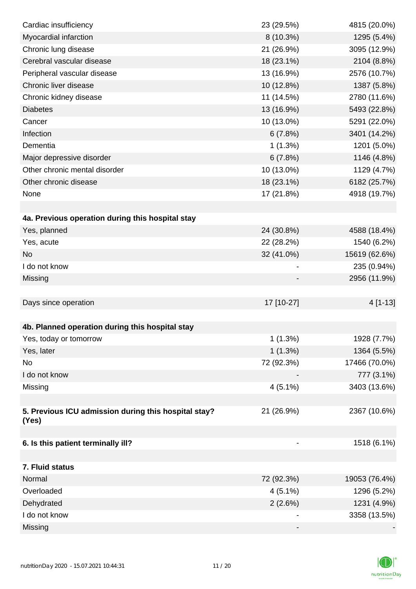| Cardiac insufficiency                                         | 23 (29.5%) | 4815 (20.0%)  |
|---------------------------------------------------------------|------------|---------------|
| Myocardial infarction                                         | 8 (10.3%)  | 1295 (5.4%)   |
| Chronic lung disease                                          | 21 (26.9%) | 3095 (12.9%)  |
| Cerebral vascular disease                                     | 18 (23.1%) | 2104 (8.8%)   |
| Peripheral vascular disease                                   | 13 (16.9%) | 2576 (10.7%)  |
| Chronic liver disease                                         | 10 (12.8%) | 1387 (5.8%)   |
| Chronic kidney disease                                        | 11 (14.5%) | 2780 (11.6%)  |
| <b>Diabetes</b>                                               | 13 (16.9%) | 5493 (22.8%)  |
| Cancer                                                        | 10 (13.0%) | 5291 (22.0%)  |
| Infection                                                     | 6(7.8%)    | 3401 (14.2%)  |
| Dementia                                                      | $1(1.3\%)$ | 1201 (5.0%)   |
| Major depressive disorder                                     | 6(7.8%)    | 1146 (4.8%)   |
| Other chronic mental disorder                                 | 10 (13.0%) | 1129 (4.7%)   |
| Other chronic disease                                         | 18 (23.1%) | 6182 (25.7%)  |
| None                                                          | 17 (21.8%) | 4918 (19.7%)  |
|                                                               |            |               |
| 4a. Previous operation during this hospital stay              |            |               |
| Yes, planned                                                  | 24 (30.8%) | 4588 (18.4%)  |
| Yes, acute                                                    | 22 (28.2%) | 1540 (6.2%)   |
| <b>No</b>                                                     | 32 (41.0%) | 15619 (62.6%) |
| I do not know                                                 |            | 235 (0.94%)   |
| Missing                                                       |            | 2956 (11.9%)  |
|                                                               |            |               |
| Days since operation                                          | 17 [10-27] | 4 [1-13]      |
|                                                               |            |               |
| 4b. Planned operation during this hospital stay               |            |               |
| Yes, today or tomorrow                                        | 1(1.3%)    | 1928 (7.7%)   |
| Yes, later                                                    | 1(1.3%)    | 1364 (5.5%)   |
| No                                                            | 72 (92.3%) | 17466 (70.0%) |
| I do not know                                                 |            | 777 (3.1%)    |
| Missing                                                       | $4(5.1\%)$ | 3403 (13.6%)  |
|                                                               |            |               |
| 5. Previous ICU admission during this hospital stay?<br>(Yes) | 21 (26.9%) | 2367 (10.6%)  |
|                                                               |            |               |
| 6. Is this patient terminally ill?                            |            | 1518 (6.1%)   |
| 7. Fluid status                                               |            |               |
| Normal                                                        | 72 (92.3%) | 19053 (76.4%) |
| Overloaded                                                    | $4(5.1\%)$ | 1296 (5.2%)   |
| Dehydrated                                                    | 2(2.6%)    | 1231 (4.9%)   |
| I do not know                                                 |            | 3358 (13.5%)  |
| Missing                                                       |            |               |

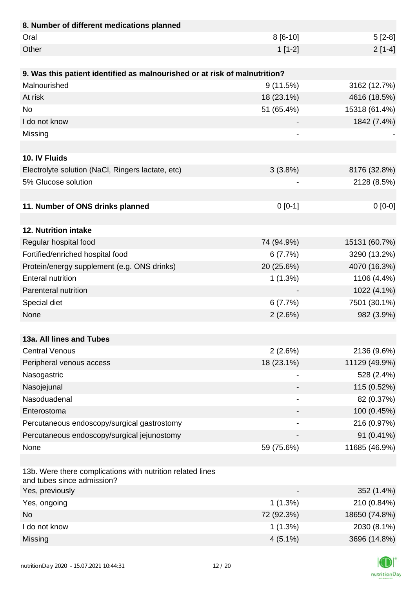| 8. Number of different medications planned                                               |                |               |
|------------------------------------------------------------------------------------------|----------------|---------------|
| Oral                                                                                     | 8 [6-10]       | $5[2-8]$      |
| Other                                                                                    | $1[1-2]$       | $2[1-4]$      |
|                                                                                          |                |               |
| 9. Was this patient identified as malnourished or at risk of malnutrition?               |                |               |
| Malnourished                                                                             | 9(11.5%)       | 3162 (12.7%)  |
| At risk                                                                                  | 18 (23.1%)     | 4616 (18.5%)  |
| <b>No</b>                                                                                | 51 (65.4%)     | 15318 (61.4%) |
| I do not know                                                                            |                | 1842 (7.4%)   |
| Missing                                                                                  |                |               |
|                                                                                          |                |               |
| 10. IV Fluids                                                                            |                |               |
| Electrolyte solution (NaCl, Ringers lactate, etc)                                        | 3(3.8%)        | 8176 (32.8%)  |
| 5% Glucose solution                                                                      |                | 2128 (8.5%)   |
|                                                                                          |                |               |
| 11. Number of ONS drinks planned                                                         | $0[0-1]$       | $0[0-0]$      |
|                                                                                          |                |               |
| 12. Nutrition intake                                                                     |                |               |
| Regular hospital food                                                                    | 74 (94.9%)     | 15131 (60.7%) |
| Fortified/enriched hospital food                                                         | 6(7.7%)        | 3290 (13.2%)  |
| Protein/energy supplement (e.g. ONS drinks)                                              | 20 (25.6%)     | 4070 (16.3%)  |
| <b>Enteral nutrition</b>                                                                 | 1(1.3%)        | 1106 (4.4%)   |
| Parenteral nutrition                                                                     |                | 1022 (4.1%)   |
| Special diet                                                                             | 6(7.7%)        | 7501 (30.1%)  |
| None                                                                                     | 2(2.6%)        | 982 (3.9%)    |
|                                                                                          |                |               |
| 13a. All lines and Tubes                                                                 |                |               |
| <b>Central Venous</b>                                                                    | 2(2.6%)        | 2136 (9.6%)   |
| Peripheral venous access                                                                 | 18 (23.1%)     | 11129 (49.9%) |
| Nasogastric                                                                              | $\overline{a}$ | 528 (2.4%)    |
| Nasojejunal                                                                              |                | 115 (0.52%)   |
| Nasoduadenal                                                                             | $\overline{a}$ | 82 (0.37%)    |
| Enterostoma                                                                              |                | 100 (0.45%)   |
| Percutaneous endoscopy/surgical gastrostomy                                              |                | 216 (0.97%)   |
| Percutaneous endoscopy/surgical jejunostomy                                              |                | 91 (0.41%)    |
| None                                                                                     | 59 (75.6%)     | 11685 (46.9%) |
|                                                                                          |                |               |
| 13b. Were there complications with nutrition related lines<br>and tubes since admission? |                |               |
| Yes, previously                                                                          |                | 352 (1.4%)    |
| Yes, ongoing                                                                             | 1(1.3%)        | 210 (0.84%)   |
| <b>No</b>                                                                                | 72 (92.3%)     | 18650 (74.8%) |
| I do not know                                                                            | 1(1.3%)        | 2030 (8.1%)   |
| Missing                                                                                  | $4(5.1\%)$     | 3696 (14.8%)  |

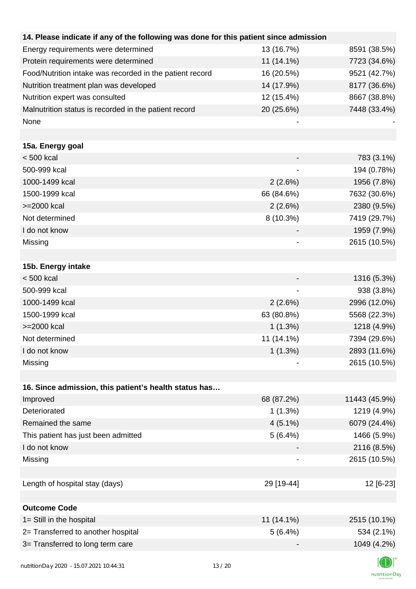| 14. Please indicate if any of the following was done for this patient since admission |            |               |
|---------------------------------------------------------------------------------------|------------|---------------|
| Energy requirements were determined                                                   | 13 (16.7%) | 8591 (38.5%)  |
| Protein requirements were determined                                                  | 11 (14.1%) | 7723 (34.6%)  |
| Food/Nutrition intake was recorded in the patient record                              | 16 (20.5%) | 9521 (42.7%)  |
| Nutrition treatment plan was developed                                                | 14 (17.9%) | 8177 (36.6%)  |
| Nutrition expert was consulted                                                        | 12 (15.4%) | 8667 (38.8%)  |
| Malnutrition status is recorded in the patient record                                 | 20 (25.6%) | 7448 (33.4%)  |
| None                                                                                  |            |               |
|                                                                                       |            |               |
| 15a. Energy goal                                                                      |            |               |
| < 500 kcal                                                                            |            | 783 (3.1%)    |
| 500-999 kcal                                                                          |            | 194 (0.78%)   |
| 1000-1499 kcal                                                                        | 2(2.6%)    | 1956 (7.8%)   |
| 1500-1999 kcal                                                                        | 66 (84.6%) | 7632 (30.6%)  |
| >=2000 kcal                                                                           | 2(2.6%)    | 2380 (9.5%)   |
| Not determined                                                                        | 8 (10.3%)  | 7419 (29.7%)  |
| I do not know                                                                         |            | 1959 (7.9%)   |
| Missing                                                                               |            | 2615 (10.5%)  |
|                                                                                       |            |               |
| 15b. Energy intake                                                                    |            |               |
| $< 500$ kcal                                                                          |            | 1316 (5.3%)   |
| 500-999 kcal                                                                          |            | 938 (3.8%)    |
| 1000-1499 kcal                                                                        | 2(2.6%)    | 2996 (12.0%)  |
| 1500-1999 kcal                                                                        | 63 (80.8%) | 5568 (22.3%)  |
| >=2000 kcal                                                                           | 1(1.3%)    | 1218 (4.9%)   |
| Not determined                                                                        | 11 (14.1%) | 7394 (29.6%)  |
| I do not know                                                                         | $1(1.3\%)$ | 2893 (11.6%)  |
| Missing                                                                               |            | 2615 (10.5%)  |
|                                                                                       |            |               |
| 16. Since admission, this patient's health status has                                 |            |               |
| Improved                                                                              | 68 (87.2%) | 11443 (45.9%) |
| Deteriorated                                                                          | 1(1.3%)    | 1219 (4.9%)   |
| Remained the same                                                                     | $4(5.1\%)$ | 6079 (24.4%)  |
| This patient has just been admitted                                                   | 5(6.4%)    | 1466 (5.9%)   |
| I do not know                                                                         |            | 2116 (8.5%)   |
| Missing                                                                               |            | 2615 (10.5%)  |
|                                                                                       |            |               |
| Length of hospital stay (days)                                                        | 29 [19-44] | 12 [6-23]     |
|                                                                                       |            |               |
| <b>Outcome Code</b>                                                                   |            |               |
| 1= Still in the hospital                                                              | 11 (14.1%) | 2515 (10.1%)  |
| 2= Transferred to another hospital                                                    | 5(6.4%)    | 534 (2.1%)    |
| 3= Transferred to long term care                                                      |            | 1049 (4.2%)   |
|                                                                                       |            |               |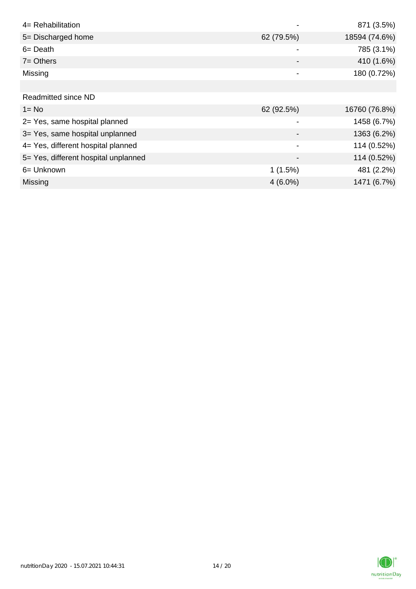| 4= Rehabilitation                    |                          | 871 (3.5%)    |
|--------------------------------------|--------------------------|---------------|
| 5= Discharged home                   | 62 (79.5%)               | 18594 (74.6%) |
| $6 = \text{Death}$                   |                          | 785 (3.1%)    |
| $7 =$ Others                         |                          | 410 (1.6%)    |
| Missing                              | $\overline{\phantom{0}}$ | 180 (0.72%)   |
|                                      |                          |               |
| Readmitted since ND                  |                          |               |
| $1 = No$                             | 62 (92.5%)               | 16760 (76.8%) |
| 2= Yes, same hospital planned        | -                        | 1458 (6.7%)   |
| 3= Yes, same hospital unplanned      |                          | 1363 (6.2%)   |
| 4= Yes, different hospital planned   | $\blacksquare$           | 114 (0.52%)   |
| 5= Yes, different hospital unplanned |                          | 114 (0.52%)   |
| 6= Unknown                           | 1(1.5%)                  | 481 (2.2%)    |
| <b>Missing</b>                       | $4(6.0\%)$               | 1471 (6.7%)   |

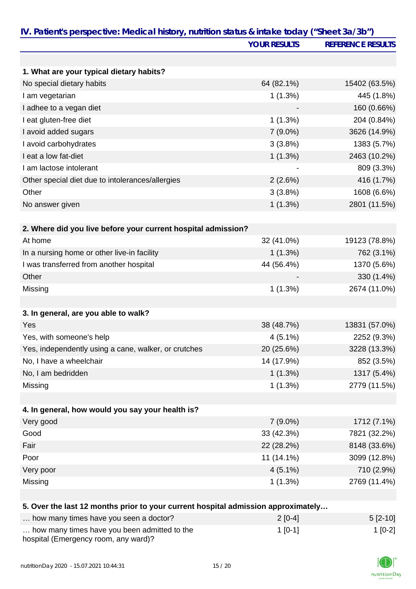| IV. Patient's perspective: Medical history, nutrition status & intake today ("Sheet 3a/3b") |                     |                          |
|---------------------------------------------------------------------------------------------|---------------------|--------------------------|
|                                                                                             | <b>YOUR RESULTS</b> | <b>REFERENCE RESULTS</b> |
|                                                                                             |                     |                          |
| 1. What are your typical dietary habits?                                                    |                     |                          |
| No special dietary habits                                                                   | 64 (82.1%)          | 15402 (63.5%)            |
| I am vegetarian                                                                             | 1(1.3%)             | 445 (1.8%)               |
| I adhee to a vegan diet                                                                     |                     | 160 (0.66%)              |
| I eat gluten-free diet                                                                      | 1(1.3%)             | 204 (0.84%)              |
| I avoid added sugars                                                                        | $7(9.0\%)$          | 3626 (14.9%)             |
| I avoid carbohydrates                                                                       | 3(3.8%)             | 1383 (5.7%)              |
| I eat a low fat-diet                                                                        | 1(1.3%)             | 2463 (10.2%)             |
| I am lactose intolerant                                                                     |                     | 809 (3.3%)               |
| Other special diet due to intolerances/allergies                                            | 2(2.6%)             | 416 (1.7%)               |
| Other                                                                                       | 3(3.8%)             | 1608 (6.6%)              |
| No answer given                                                                             | 1(1.3%)             | 2801 (11.5%)             |
|                                                                                             |                     |                          |
| 2. Where did you live before your current hospital admission?                               |                     |                          |
| At home                                                                                     | 32 (41.0%)          | 19123 (78.8%)            |
| In a nursing home or other live-in facility                                                 | 1(1.3%)             | 762 (3.1%)               |
| I was transferred from another hospital                                                     | 44 (56.4%)          | 1370 (5.6%)              |
| Other                                                                                       |                     | 330 (1.4%)               |
| Missing                                                                                     | 1(1.3%)             | 2674 (11.0%)             |
|                                                                                             |                     |                          |
| 3. In general, are you able to walk?                                                        |                     |                          |
| Yes                                                                                         | 38 (48.7%)          | 13831 (57.0%)            |
| Yes, with someone's help                                                                    | $4(5.1\%)$          | 2252 (9.3%)              |
| Yes, independently using a cane, walker, or crutches                                        | 20 (25.6%)          | 3228 (13.3%)             |
| No, I have a wheelchair                                                                     | 14 (17.9%)          | 852 (3.5%)               |
| No, I am bedridden                                                                          | 1(1.3%)             | 1317 (5.4%)              |
| Missing                                                                                     | 1(1.3%)             | 2779 (11.5%)             |
|                                                                                             |                     |                          |
| 4. In general, how would you say your health is?                                            |                     |                          |
| Very good                                                                                   | $7(9.0\%)$          | 1712 (7.1%)              |
| Good                                                                                        | 33 (42.3%)          | 7821 (32.2%)             |
| Fair                                                                                        | 22 (28.2%)          | 8148 (33.6%)             |
| Poor                                                                                        | 11 (14.1%)          | 3099 (12.8%)             |
| Very poor                                                                                   | $4(5.1\%)$          | 710 (2.9%)               |
| Missing                                                                                     | 1(1.3%)             | 2769 (11.4%)             |
|                                                                                             |                     |                          |
| 5. Over the last 12 months prior to your current hospital admission approximately           |                     |                          |
| how many times have you seen a doctor?                                                      | $2[0-4]$            | $5[2-10]$                |
| how many times have you been admitted to the                                                | $1[0-1]$            | $1[0-2]$                 |

| hospital (Emergency room, any ward)? |  |
|--------------------------------------|--|
|                                      |  |

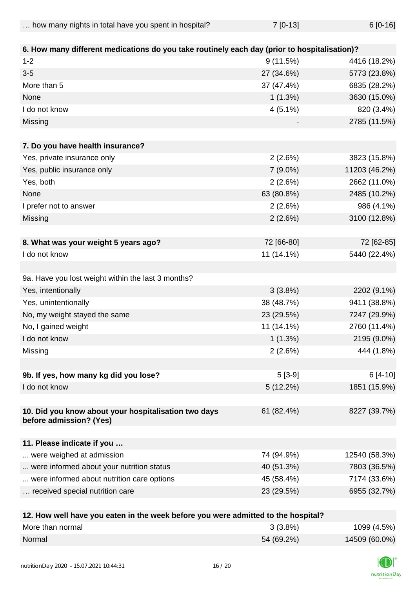... how many nights in total have you spent in hospital?  $7$  [0-13]  $6$  [0-16]

| 6. How many different medications do you take routinely each day (prior to hospitalisation)? |            |               |
|----------------------------------------------------------------------------------------------|------------|---------------|
| $1 - 2$                                                                                      | 9(11.5%)   | 4416 (18.2%)  |
| $3-5$                                                                                        | 27 (34.6%) | 5773 (23.8%)  |
| More than 5                                                                                  | 37 (47.4%) | 6835 (28.2%)  |
| None                                                                                         | 1(1.3%)    | 3630 (15.0%)  |
| I do not know                                                                                | $4(5.1\%)$ | 820 (3.4%)    |
| Missing                                                                                      |            | 2785 (11.5%)  |
|                                                                                              |            |               |
| 7. Do you have health insurance?                                                             |            |               |
| Yes, private insurance only                                                                  | 2(2.6%)    | 3823 (15.8%)  |
| Yes, public insurance only                                                                   | $7(9.0\%)$ | 11203 (46.2%) |
| Yes, both                                                                                    | 2(2.6%)    | 2662 (11.0%)  |
| None                                                                                         | 63 (80.8%) | 2485 (10.2%)  |
| I prefer not to answer                                                                       | 2(2.6%)    | 986 (4.1%)    |
| Missing                                                                                      | 2(2.6%)    | 3100 (12.8%)  |
|                                                                                              |            |               |
| 8. What was your weight 5 years ago?                                                         | 72 [66-80] | 72 [62-85]    |
| I do not know                                                                                | 11 (14.1%) | 5440 (22.4%)  |
|                                                                                              |            |               |
| 9a. Have you lost weight within the last 3 months?                                           |            |               |
| Yes, intentionally                                                                           | 3(3.8%)    | 2202 (9.1%)   |
| Yes, unintentionally                                                                         | 38 (48.7%) | 9411 (38.8%)  |
| No, my weight stayed the same                                                                | 23 (29.5%) | 7247 (29.9%)  |
| No, I gained weight                                                                          | 11 (14.1%) | 2760 (11.4%)  |
| I do not know                                                                                | 1(1.3%)    | 2195 (9.0%)   |
| Missing                                                                                      | 2(2.6%)    | 444 (1.8%)    |
|                                                                                              |            |               |
| 9b. If yes, how many kg did you lose?                                                        | $5[3-9]$   | $6[4-10]$     |
| I do not know                                                                                | 5(12.2%)   | 1851 (15.9%)  |
|                                                                                              |            |               |
| 10. Did you know about your hospitalisation two days                                         | 61 (82.4%) | 8227 (39.7%)  |
| before admission? (Yes)                                                                      |            |               |
|                                                                                              |            |               |
| 11. Please indicate if you                                                                   |            |               |
| were weighed at admission                                                                    | 74 (94.9%) | 12540 (58.3%) |
| were informed about your nutrition status                                                    | 40 (51.3%) | 7803 (36.5%)  |
| were informed about nutrition care options                                                   | 45 (58.4%) | 7174 (33.6%)  |
| received special nutrition care                                                              | 23 (29.5%) | 6955 (32.7%)  |
|                                                                                              |            |               |

| 12. How well have you eaten in the week before you were admitted to the hospital? |            |               |  |
|-----------------------------------------------------------------------------------|------------|---------------|--|
| More than normal                                                                  | $3(3.8\%)$ | 1099 (4.5%)   |  |
| Normal                                                                            | 54 (69.2%) | 14509 (60.0%) |  |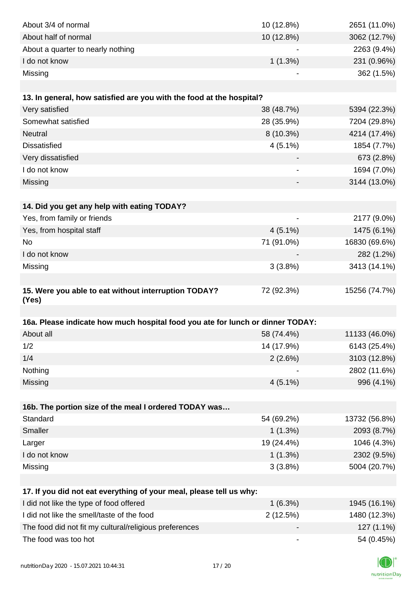| About 3/4 of normal                                                            | 10 (12.8%)                   | 2651 (11.0%)  |
|--------------------------------------------------------------------------------|------------------------------|---------------|
| About half of normal                                                           | 10 (12.8%)                   | 3062 (12.7%)  |
| About a quarter to nearly nothing                                              |                              | 2263 (9.4%)   |
| I do not know                                                                  | 1(1.3%)                      | 231 (0.96%)   |
| Missing                                                                        |                              | 362 (1.5%)    |
|                                                                                |                              |               |
| 13. In general, how satisfied are you with the food at the hospital?           |                              |               |
| Very satisfied                                                                 | 38 (48.7%)                   | 5394 (22.3%)  |
| Somewhat satisfied                                                             | 28 (35.9%)                   | 7204 (29.8%)  |
| <b>Neutral</b>                                                                 | $8(10.3\%)$                  | 4214 (17.4%)  |
| <b>Dissatisfied</b>                                                            | $4(5.1\%)$                   | 1854 (7.7%)   |
| Very dissatisfied                                                              |                              | 673 (2.8%)    |
| I do not know                                                                  | $\qquad \qquad \blacksquare$ | 1694 (7.0%)   |
| Missing                                                                        |                              | 3144 (13.0%)  |
|                                                                                |                              |               |
| 14. Did you get any help with eating TODAY?                                    |                              |               |
| Yes, from family or friends                                                    |                              | 2177 (9.0%)   |
| Yes, from hospital staff                                                       | $4(5.1\%)$                   | 1475 (6.1%)   |
| No                                                                             | 71 (91.0%)                   | 16830 (69.6%) |
| I do not know                                                                  |                              | 282 (1.2%)    |
| Missing                                                                        | 3(3.8%)                      | 3413 (14.1%)  |
|                                                                                |                              |               |
| 15. Were you able to eat without interruption TODAY?                           | 72 (92.3%)                   | 15256 (74.7%) |
| (Yes)                                                                          |                              |               |
|                                                                                |                              |               |
| 16a. Please indicate how much hospital food you ate for lunch or dinner TODAY: |                              |               |
| About all                                                                      | 58 (74.4%)                   | 11133 (46.0%) |
| 1/2                                                                            | 14 (17.9%)                   | 6143 (25.4%)  |
| 1/4                                                                            | 2(2.6%)                      | 3103 (12.8%)  |
| Nothing                                                                        |                              | 2802 (11.6%)  |
| Missing                                                                        | $4(5.1\%)$                   | 996 (4.1%)    |
|                                                                                |                              |               |
| 16b. The portion size of the meal I ordered TODAY was                          |                              |               |
| Standard                                                                       | 54 (69.2%)                   | 13732 (56.8%) |
| Smaller                                                                        | 1(1.3%)                      | 2093 (8.7%)   |
| Larger                                                                         | 19 (24.4%)                   | 1046 (4.3%)   |
| I do not know                                                                  | 1(1.3%)                      | 2302 (9.5%)   |
| Missing                                                                        | 3(3.8%)                      | 5004 (20.7%)  |
|                                                                                |                              |               |
| 17. If you did not eat everything of your meal, please tell us why:            |                              |               |
| I did not like the type of food offered                                        | 1(6.3%)                      | 1945 (16.1%)  |
| I did not like the smell/taste of the food                                     | 2(12.5%)                     | 1480 (12.3%)  |
| The food did not fit my cultural/religious preferences                         |                              | 127 (1.1%)    |
| The food was too hot                                                           |                              | 54 (0.45%)    |

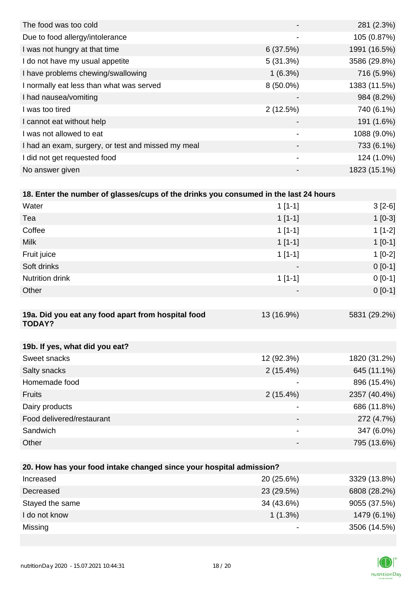|                          | 281 (2.3%)   |
|--------------------------|--------------|
| $\overline{\phantom{a}}$ | 105 (0.87%)  |
| 6(37.5%)                 | 1991 (16.5%) |
| 5(31.3%)                 | 3586 (29.8%) |
| $1(6.3\%)$               | 716 (5.9%)   |
| $8(50.0\%)$              | 1383 (11.5%) |
|                          | 984 (8.2%)   |
| 2(12.5%)                 | 740 (6.1%)   |
|                          | 191 (1.6%)   |
|                          | 1088 (9.0%)  |
|                          | 733 (6.1%)   |
| $\overline{\phantom{a}}$ | 124 (1.0%)   |
|                          | 1823 (15.1%) |
|                          |              |

| 18. Enter the number of glasses/cups of the drinks you consumed in the last 24 hours |                              |              |
|--------------------------------------------------------------------------------------|------------------------------|--------------|
| Water                                                                                | $1[1-1]$                     | $3[2-6]$     |
| Tea                                                                                  | $1[1-1]$                     | $1[0-3]$     |
| Coffee                                                                               | $1[1-1]$                     | $1[1-2]$     |
| <b>Milk</b>                                                                          | $1[1-1]$                     | $1[0-1]$     |
| Fruit juice                                                                          | $1[1-1]$                     | $1[0-2]$     |
| Soft drinks                                                                          |                              | $0[0-1]$     |
| Nutrition drink                                                                      | $1[1-1]$                     | $0[0-1]$     |
| Other                                                                                |                              | $0[0-1]$     |
|                                                                                      |                              |              |
| 19a. Did you eat any food apart from hospital food<br><b>TODAY?</b>                  | 13 (16.9%)                   | 5831 (29.2%) |
|                                                                                      |                              |              |
| 19b. If yes, what did you eat?                                                       |                              |              |
| Sweet snacks                                                                         | 12 (92.3%)                   | 1820 (31.2%) |
| Salty snacks                                                                         | $2(15.4\%)$                  | 645 (11.1%)  |
| Homemade food                                                                        |                              | 896 (15.4%)  |
| Fruits                                                                               | $2(15.4\%)$                  | 2357 (40.4%) |
| Dairy products                                                                       | $\overline{\phantom{a}}$     | 686 (11.8%)  |
| Food delivered/restaurant                                                            |                              | 272 (4.7%)   |
| Sandwich                                                                             | $\overline{\phantom{a}}$     | 347 (6.0%)   |
| Other                                                                                | $\qquad \qquad \blacksquare$ | 795 (13.6%)  |
|                                                                                      |                              |              |

| 20. How has your food intake changed since your hospital admission? |            |              |  |
|---------------------------------------------------------------------|------------|--------------|--|
| Increased                                                           | 20 (25.6%) | 3329 (13.8%) |  |
| Decreased                                                           | 23 (29.5%) | 6808 (28.2%) |  |
| Stayed the same                                                     | 34 (43.6%) | 9055 (37.5%) |  |
| I do not know                                                       | $1(1.3\%)$ | 1479 (6.1%)  |  |
| Missing                                                             |            | 3506 (14.5%) |  |

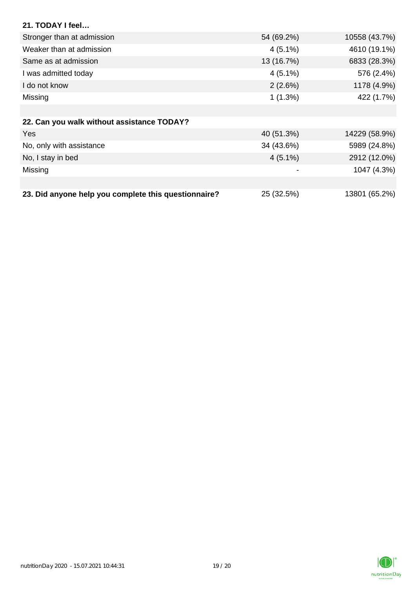| 21. TODAY I feel                                     |            |               |
|------------------------------------------------------|------------|---------------|
| Stronger than at admission                           | 54 (69.2%) | 10558 (43.7%) |
| Weaker than at admission                             | $4(5.1\%)$ | 4610 (19.1%)  |
| Same as at admission                                 | 13 (16.7%) | 6833 (28.3%)  |
| I was admitted today                                 | $4(5.1\%)$ | 576 (2.4%)    |
| I do not know                                        | 2(2.6%)    | 1178 (4.9%)   |
| Missing                                              | $1(1.3\%)$ | 422 (1.7%)    |
|                                                      |            |               |
| 22. Can you walk without assistance TODAY?           |            |               |
| <b>Yes</b>                                           | 40 (51.3%) | 14229 (58.9%) |
| No, only with assistance                             | 34 (43.6%) | 5989 (24.8%)  |
| No, I stay in bed                                    | $4(5.1\%)$ | 2912 (12.0%)  |
| Missing                                              |            | 1047 (4.3%)   |
|                                                      |            |               |
| 23. Did anyone help you complete this questionnaire? | 25 (32.5%) | 13801 (65.2%) |